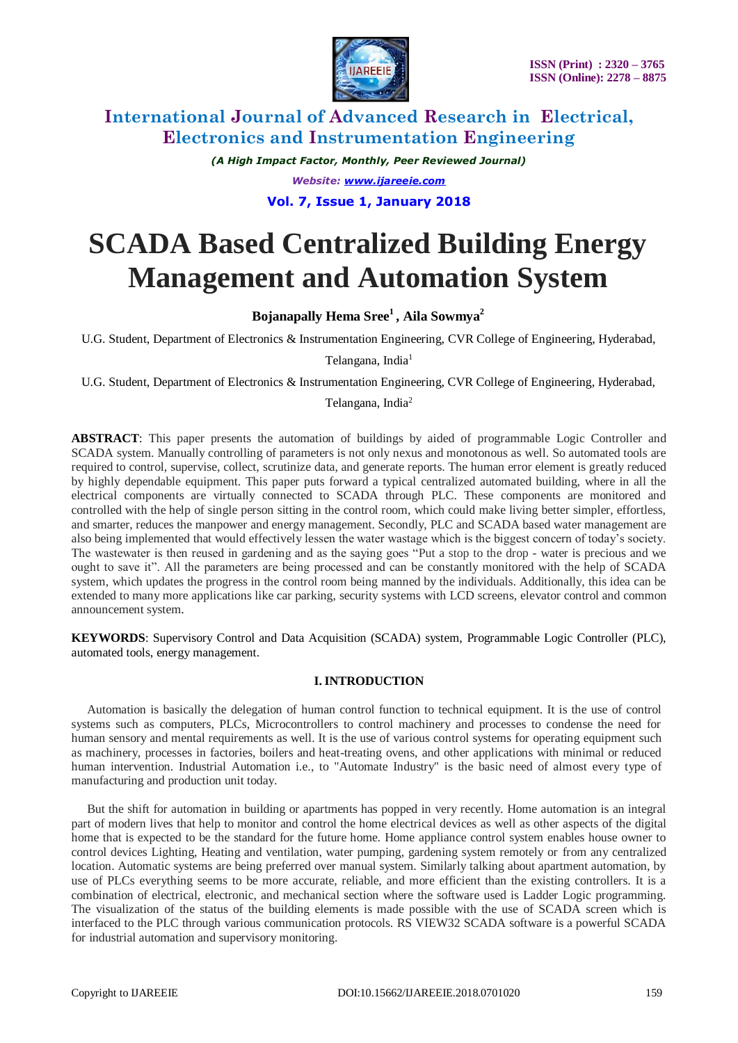

*(A High Impact Factor, Monthly, Peer Reviewed Journal) Website: [www.ijareeie.com](http://www.ijareeie.com/)* **Vol. 7, Issue 1, January 2018**

# **SCADA Based Centralized Building Energy Management and Automation System**

**Bojanapally Hema Sree<sup>1</sup>, Aila Sowmya<sup>2</sup>**

U.G. Student, Department of Electronics & Instrumentation Engineering, CVR College of Engineering, Hyderabad,

Telangana, India<sup>1</sup>

U.G. Student, Department of Electronics & Instrumentation Engineering, CVR College of Engineering, Hyderabad,

### Telangana, India<sup>2</sup>

**ABSTRACT**: This paper presents the automation of buildings by aided of programmable Logic Controller and SCADA system. Manually controlling of parameters is not only nexus and monotonous as well. So automated tools are required to control, supervise, collect, scrutinize data, and generate reports. The human error element is greatly reduced by highly dependable equipment. This paper puts forward a typical centralized automated building, where in all the electrical components are virtually connected to SCADA through PLC. These components are monitored and controlled with the help of single person sitting in the control room, which could make living better simpler, effortless, and smarter, reduces the manpower and energy management. Secondly, PLC and SCADA based water management are also being implemented that would effectively lessen the water wastage which is the biggest concern of today's society. The wastewater is then reused in gardening and as the saying goes "Put a stop to the drop - water is precious and we ought to save it". All the parameters are being processed and can be constantly monitored with the help of SCADA system, which updates the progress in the control room being manned by the individuals. Additionally, this idea can be extended to many more applications like car parking, security systems with LCD screens, elevator control and common announcement system.

**KEYWORDS**: Supervisory Control and Data Acquisition (SCADA) system, Programmable Logic Controller (PLC), automated tools, energy management.

### **I. INTRODUCTION**

 Automation is basically the delegation of human control function to technical equipment. It is the use of control systems such as computers, PLCs, Microcontrollers to control machinery and processes to condense the need for human sensory and mental requirements as well. It is the use of various control systems for operating equipment such as machinery, processes in factories, boilers and heat-treating ovens, and other applications with minimal or reduced human intervention. Industrial Automation i.e., to "Automate Industry" is the basic need of almost every type of manufacturing and production unit today.

 But the shift for automation in building or apartments has popped in very recently. Home automation is an integral part of modern lives that help to monitor and control the home electrical devices as well as other aspects of the digital home that is expected to be the standard for the future home. Home appliance control system enables house owner to control devices Lighting, Heating and ventilation, water pumping, gardening system remotely or from any centralized location. Automatic systems are being preferred over manual system. Similarly talking about apartment automation, by use of PLCs everything seems to be more accurate, reliable, and more efficient than the existing controllers. It is a combination of electrical, electronic, and mechanical section where the software used is Ladder Logic programming. The visualization of the status of the building elements is made possible with the use of SCADA screen which is interfaced to the PLC through various communication protocols. RS VIEW32 SCADA software is a powerful SCADA for industrial automation and supervisory monitoring.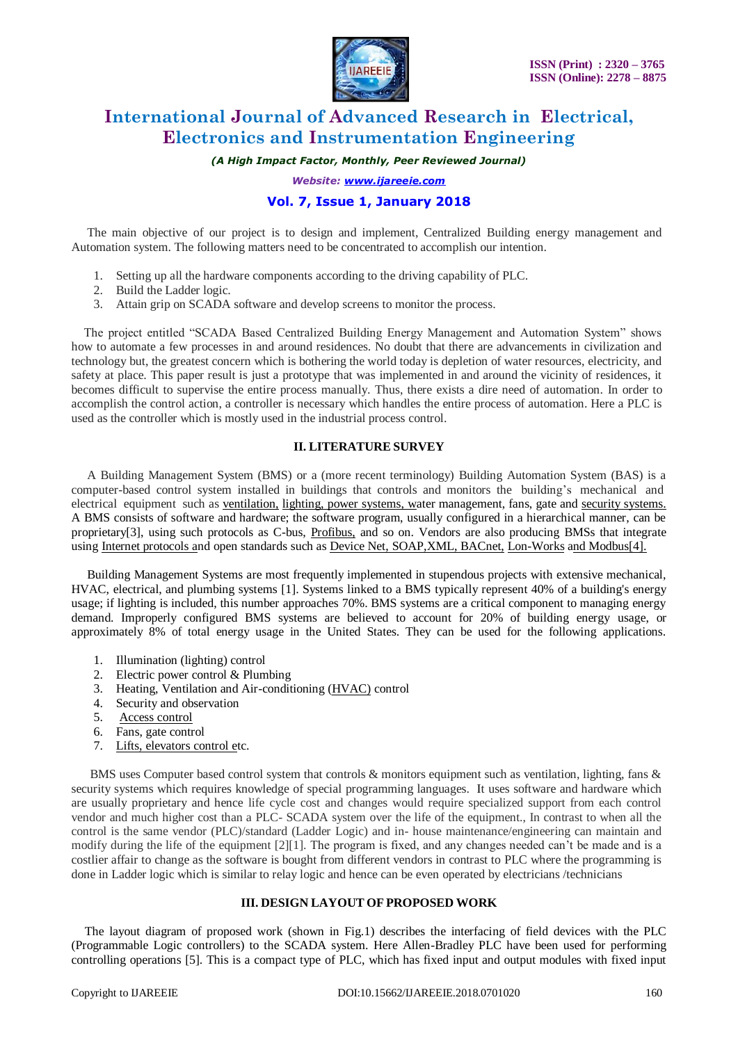

*(A High Impact Factor, Monthly, Peer Reviewed Journal)*

*Website: [www.ijareeie.com](http://www.ijareeie.com/)*

### **Vol. 7, Issue 1, January 2018**

 The main objective of our project is to design and implement, Centralized Building energy management and Automation system. The following matters need to be concentrated to accomplish our intention.

- 1. Setting up all the hardware components according to the driving capability of PLC.
- 2. Build the Ladder logic.
- 3. Attain grip on SCADA software and develop screens to monitor the process.

 The project entitled "SCADA Based Centralized Building Energy Management and Automation System" shows how to automate a few processes in and around residences. No doubt that there are advancements in civilization and technology but, the greatest concern which is bothering the world today is depletion of water resources, electricity, and safety at place. This paper result is just a prototype that was implemented in and around the vicinity of residences, it becomes difficult to supervise the entire process manually. Thus, there exists a dire need of automation. In order to accomplish the control action, a controller is necessary which handles the entire process of automation. Here a PLC is used as the controller which is mostly used in the industrial process control.

#### **II. LITERATURE SURVEY**

 A Building Management System (BMS) or a (more recent terminology) Building Automation System (BAS) is a computer-based control system installed in buildings that controls and monitors the building's mechanical and electrical equipment such as [ventilation,](http://en.wikipedia.org/wiki/Ventilation_(architecture)) [lighting, p](http://en.wikipedia.org/wiki/Lighting)ower [systems, wa](http://en.wikipedia.org/wiki/Lighting)ter management, fans, gate and [security systems.](http://en.wikipedia.org/wiki/Security_system) A BMS consists of software and hardware; the software program, usually configured in a hierarchical manner, can be proprietary[3], using such protocols as C-bus, [Profibus,](http://en.wikipedia.org/wiki/Profibus) and so on. Vendors are also producing BMSs that integrate using [Internet protocols an](http://en.wikipedia.org/wiki/Internet_protocol)d open standards such as Device Net, SOAP, XML, [BACnet,](http://en.wikipedia.org/wiki/BACnet) [Lon-Works](http://en.wikipedia.org/wiki/LonWorks) [and Modbus\[4\].](http://en.wikipedia.org/wiki/Modbus)

 Building Management Systems are most frequently implemented in stupendous projects with extensive mechanical, HVAC, electrical, and plumbing systems [1]. Systems linked to a BMS typically represent 40% of a building's energy usage; if lighting is included, this number approaches 70%. BMS systems are a critical component to managing energy demand. Improperly configured BMS systems are believed to account for 20% of building energy usage, or approximately 8% of total energy usage in the United States. They can be used for the following applications.

- 1. Illumination (lighting) control
- 2. Electric power control & Plumbing
- 3. Heating, Ventilation and Air-conditioning [\(HVAC\)](http://en.wikipedia.org/wiki/HVAC) control
- 4. Security and observation
- 5. [Access control](http://en.wikipedia.org/wiki/Access_control)
- 6. Fans, gate control
- 7. [Lifts, elevators control et](http://en.wikipedia.org/wiki/Elevator)c.

BMS uses Computer based control system that controls & monitors equipment such as ventilation, lighting, fans & security systems which requires knowledge of special programming languages. It uses software and hardware which are usually proprietary and hence life cycle cost and changes would require specialized support from each control vendor and much higher cost than a PLC- SCADA system over the life of the equipment., In contrast to when all the control is the same vendor (PLC)/standard (Ladder Logic) and in- house maintenance/engineering can maintain and modify during the life of the equipment [2][1]. The program is fixed, and any changes needed can't be made and is a costlier affair to change as the software is bought from different vendors in contrast to PLC where the programming is done in Ladder logic which is similar to relay logic and hence can be even operated by electricians /technicians

#### **III. DESIGN LAYOUT OF PROPOSED WORK**

The layout diagram of proposed work (shown in Fig.1) describes the interfacing of field devices with the PLC (Programmable Logic controllers) to the SCADA system. Here Allen-Bradley PLC have been used for performing controlling operations [5]. This is a compact type of PLC, which has fixed input and output modules with fixed input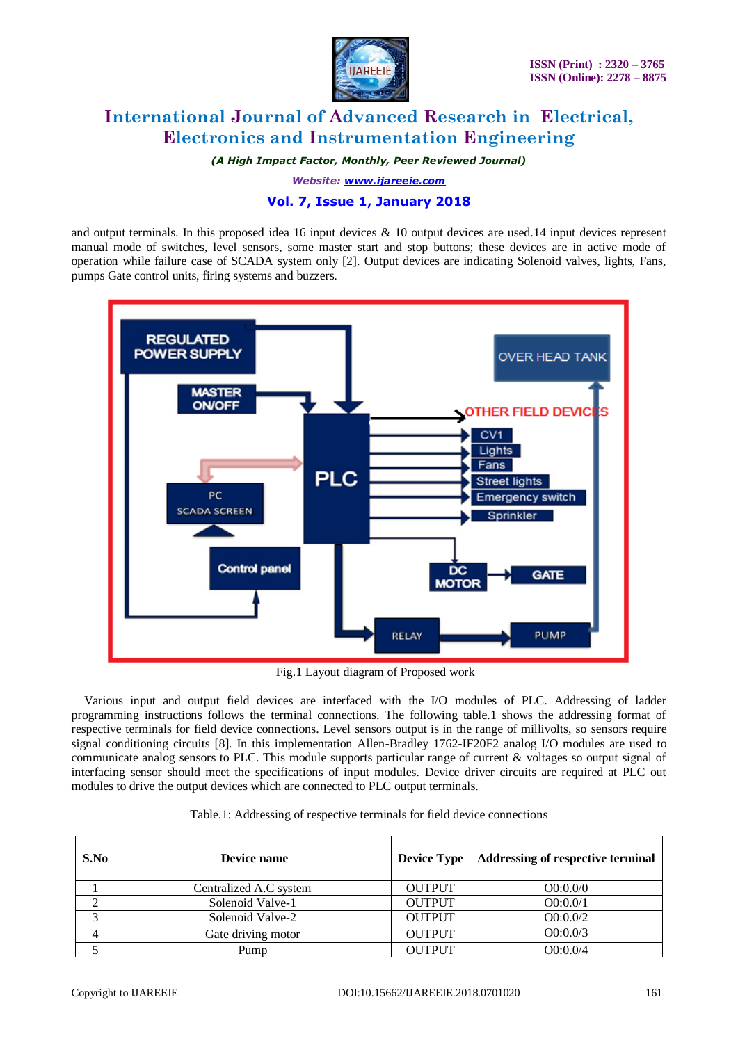

*(A High Impact Factor, Monthly, Peer Reviewed Journal)*

*Website: [www.ijareeie.com](http://www.ijareeie.com/)*

# **Vol. 7, Issue 1, January 2018**

and output terminals. In this proposed idea 16 input devices  $\&$  10 output devices are used.14 input devices represent manual mode of switches, level sensors, some master start and stop buttons; these devices are in active mode of operation while failure case of SCADA system only [2]. Output devices are indicating Solenoid valves, lights, Fans, pumps Gate control units, firing systems and buzzers.



Fig.1 Layout diagram of Proposed work

 Various input and output field devices are interfaced with the I/O modules of PLC. Addressing of ladder programming instructions follows the terminal connections. The following table.1 shows the addressing format of respective terminals for field device connections. Level sensors output is in the range of millivolts, so sensors require signal conditioning circuits [8]. In this implementation Allen-Bradley 1762-IF20F2 analog I/O modules are used to communicate analog sensors to PLC. This module supports particular range of current & voltages so output signal of interfacing sensor should meet the specifications of input modules. Device driver circuits are required at PLC out modules to drive the output devices which are connected to PLC output terminals.

| S.No | Device name            | <b>Device Type</b> | <b>Addressing of respective terminal</b> |
|------|------------------------|--------------------|------------------------------------------|
|      | Centralized A.C system | <b>OUTPUT</b>      | O(0:0.0/0)                               |
|      | Solenoid Valve-1       | <b>OUTPUT</b>      | O(0:0.0/1)                               |
|      | Solenoid Valve-2       | <b>OUTPUT</b>      | O(0.00/2)                                |
| 4    | Gate driving motor     | <b>OUTPUT</b>      | O(0.0073)                                |
|      | Pump                   | <b>OUTPUT</b>      | O(0.00/4)                                |

Table.1: Addressing of respective terminals for field device connections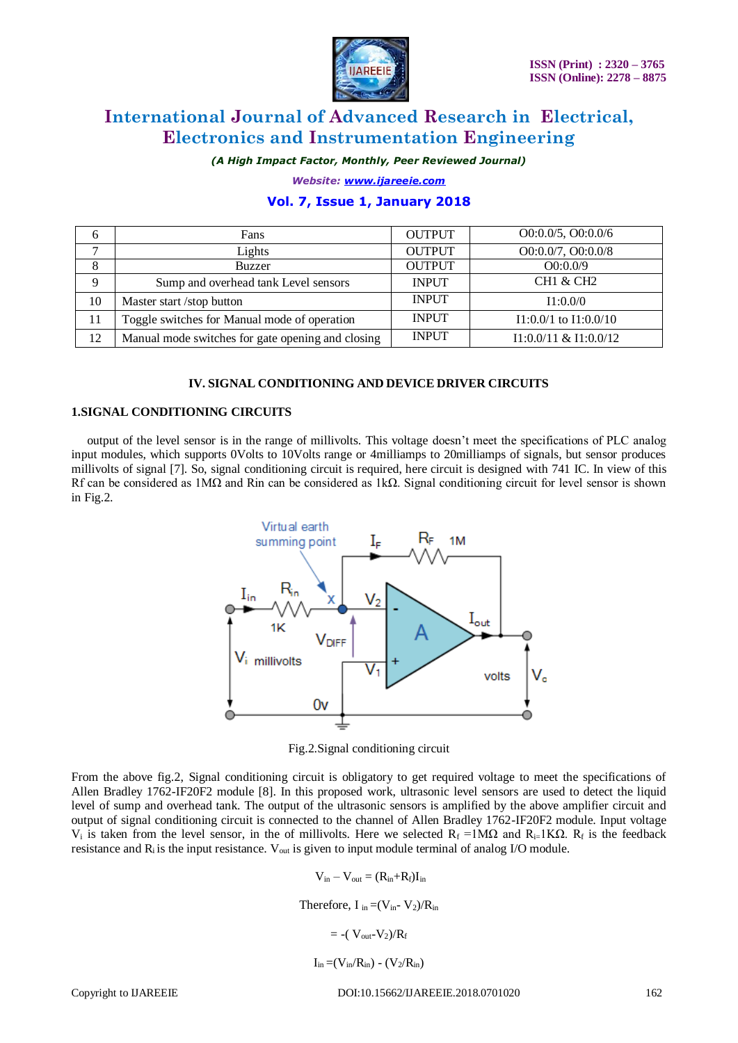

*(A High Impact Factor, Monthly, Peer Reviewed Journal)*

*Website: [www.ijareeie.com](http://www.ijareeie.com/)*

## **Vol. 7, Issue 1, January 2018**

| 6              | Fans                                              | <b>OUTPUT</b> | O(0.0.0/5, O(0.0.0/6))    |
|----------------|---------------------------------------------------|---------------|---------------------------|
| $\overline{ }$ | Lights                                            | <b>OUTPUT</b> | O0:0.0/7, O0:0.0/8        |
| 8              | <b>Buzzer</b>                                     | <b>OUTPUT</b> | O(0:0.0/9)                |
| 9              | Sump and overhead tank Level sensors              | <b>INPUT</b>  | <b>CH1 &amp; CH2</b>      |
| 10             | Master start /stop button                         | <b>INPUT</b>  | I1:0.0/0                  |
| 11             | Toggle switches for Manual mode of operation      | <b>INPUT</b>  | $I1:0.0/1$ to $I1:0.0/10$ |
| 12             | Manual mode switches for gate opening and closing | <b>INPUT</b>  | $I1:0.0/11$ & $I1:0.0/12$ |

#### **IV. SIGNAL CONDITIONING AND DEVICE DRIVER CIRCUITS**

#### **1.SIGNAL CONDITIONING CIRCUITS**

 output of the level sensor is in the range of millivolts. This voltage doesn't meet the specifications of PLC analog input modules, which supports 0Volts to 10Volts range or 4milliamps to 20milliamps of signals, but sensor produces millivolts of signal [7]. So, signal conditioning circuit is required, here circuit is designed with 741 IC. In view of this Rf can be considered as 1M $\Omega$  and Rin can be considered as 1k $\Omega$ . Signal conditioning circuit for level sensor is shown in Fig.2.



Fig.2.Signal conditioning circuit

From the above fig.2, Signal conditioning circuit is obligatory to get required voltage to meet the specifications of Allen Bradley 1762-IF20F2 module [8]. In this proposed work, ultrasonic level sensors are used to detect the liquid level of sump and overhead tank. The output of the ultrasonic sensors is amplified by the above amplifier circuit and output of signal conditioning circuit is connected to the channel of Allen Bradley 1762-IF20F2 module. Input voltage V<sub>i</sub> is taken from the level sensor, in the of millivolts. Here we selected R<sub>f</sub> =1MΩ and R<sub>i=</sub>1KΩ. R<sub>f</sub> is the feedback resistance and  $R_i$  is the input resistance.  $V_{out}$  is given to input module terminal of analog I/O module.

$$
V_{in} - V_{out} = (R_{in} + R_f)I_{in}
$$
  
Therefore, I<sub>in</sub> =  $(V_{in} - V_2)/R_{in}$   
=  $-(V_{out} - V_2)/R_f$   
 $I_{in} = (V_{in}/R_{in}) - (V_2/R_{in})$ 

Copyright to UAREEIE DOI:10.15662/IJAREEIE.2018.0701020 162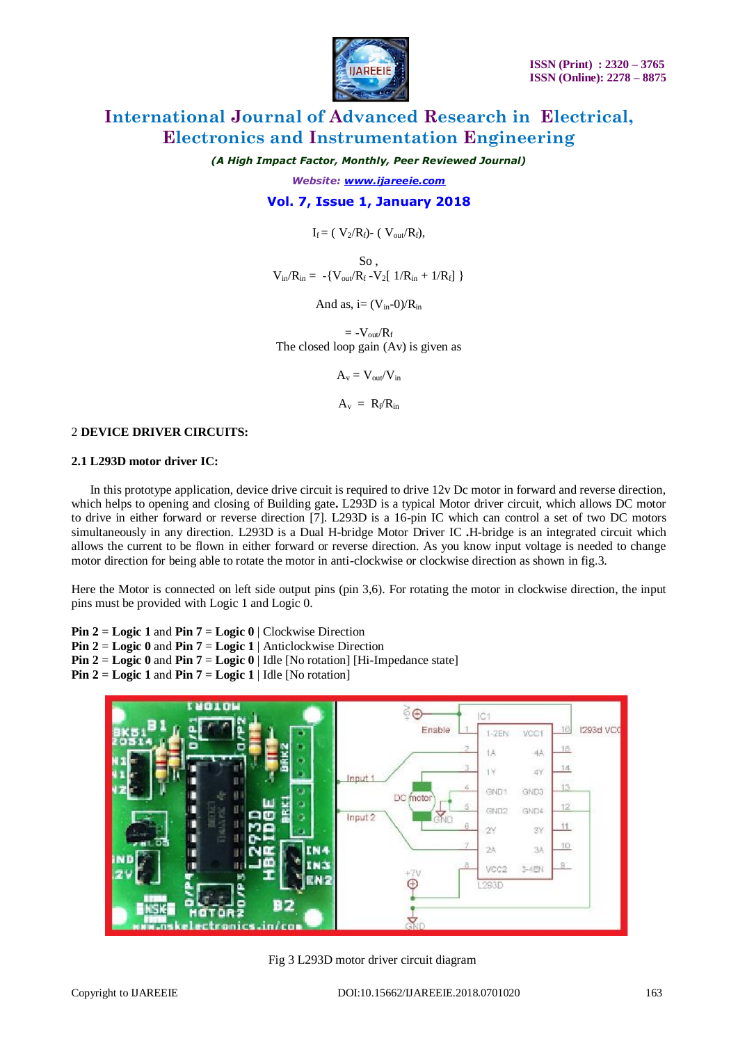

*(A High Impact Factor, Monthly, Peer Reviewed Journal)*

*Website: [www.ijareeie.com](http://www.ijareeie.com/)*

### **Vol. 7, Issue 1, January 2018**

### $I_f = (V_2/R_f)$ - ( $V_{out}/R_f$ ),

So ,  $V_{in}/R_{in} = -\{V_{out}/R_f - V_2[1/R_{in} + 1/R_f]\}$ 

And as,  $i=(V_{in}-0)/R_{in}$ 

 $= -V_{\text{out}}/R_f$ The closed loop gain (Av) is given as

$$
A_v = V_{\text{out}}/V_{\text{in}}
$$

 $A_v = R_f/R_{in}$ 

#### 2 **DEVICE DRIVER CIRCUITS:**

#### **2.1 L293D motor driver IC:**

 In this prototype application, device drive circuit is required to drive 12v Dc motor in forward and reverse direction, which helps to opening and closing of Building gate**.** L293D is a typical Motor driver circuit, which allows DC motor to drive in either forward or reverse direction [7]. L293D is a 16-pin IC which can control a set of two DC motors simultaneously in any direction. L293D is a Dual H-bridge Motor Driver IC **.**H-bridge is an integrated circuit which allows the current to be flown in either forward or reverse direction. As you know input voltage is needed to change motor direction for being able to rotate the motor in anti-clockwise or clockwise direction as shown in fig.3.

Here the Motor is connected on left side output pins (pin 3,6). For rotating the motor in clockwise direction, the input pins must be provided with Logic 1 and Logic 0.

**Pin 2** = **Logic 1** and **Pin 7** = **Logic 0** | Clockwise Direction

- **Pin 2** = **Logic 0** and **Pin 7** = **Logic 1** | Anticlockwise Direction
- **Pin 2 = Logic 0 and Pin 7 = Logic 0 | Idle [No rotation] [Hi-Impedance state]**

**Pin 2 = Logic 1** and **Pin 7 = Logic 1** | Idle [No rotation]



Fig 3 L293D motor driver circuit diagram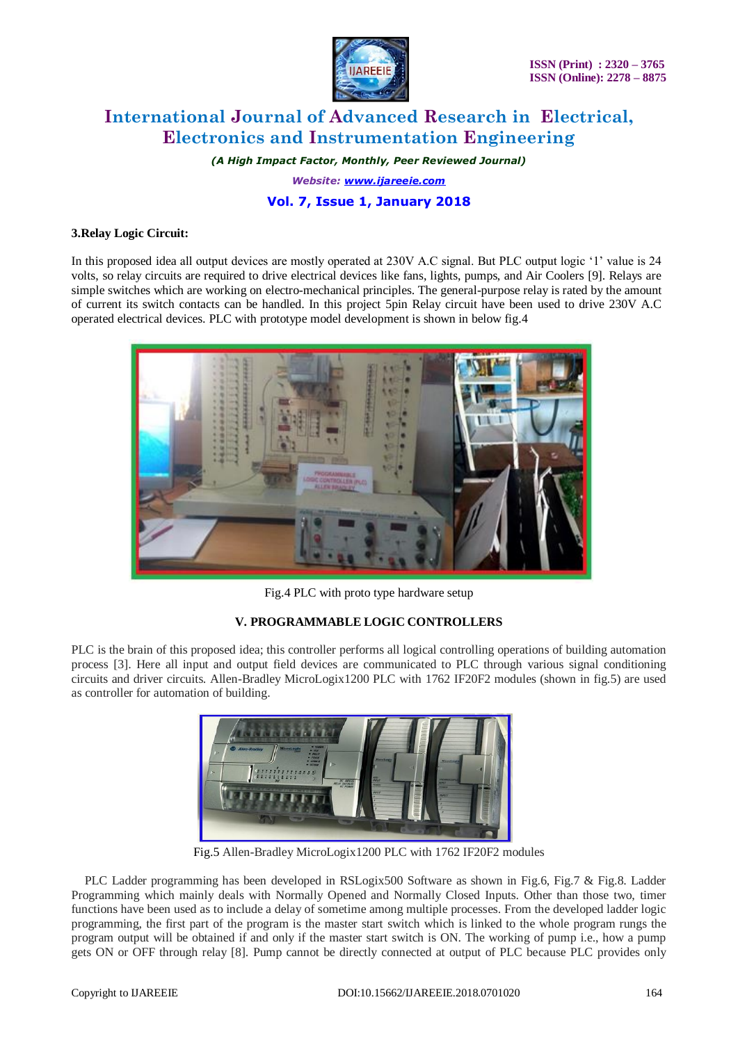

*(A High Impact Factor, Monthly, Peer Reviewed Journal)*

*Website: [www.ijareeie.com](http://www.ijareeie.com/)*

# **Vol. 7, Issue 1, January 2018**

### **3.Relay Logic Circuit:**

In this proposed idea all output devices are mostly operated at 230V A.C signal. But PLC output logic '1' value is 24 volts, so relay circuits are required to drive electrical devices like fans, lights, pumps, and Air Coolers [9]. Relays are simple switches which are working on electro-mechanical principles. The general-purpose relay is rated by the amount of current its switch contacts can be handled. In this project 5pin Relay circuit have been used to drive 230V A.C operated electrical devices. PLC with prototype model development is shown in below fig.4



Fig.4 PLC with proto type hardware setup

### **V. PROGRAMMABLE LOGIC CONTROLLERS**

PLC is the brain of this proposed idea; this controller performs all logical controlling operations of building automation process [3]. Here all input and output field devices are communicated to PLC through various signal conditioning circuits and driver circuits. Allen-Bradley MicroLogix1200 PLC with 1762 IF20F2 modules (shown in fig.5) are used as controller for automation of building.



Fig.5 Allen-Bradley MicroLogix1200 PLC with 1762 IF20F2 modules

PLC Ladder programming has been developed in RSLogix500 Software as shown in Fig.6, Fig.7 & Fig.8. Ladder Programming which mainly deals with Normally Opened and Normally Closed Inputs. Other than those two, timer functions have been used as to include a delay of sometime among multiple processes. From the developed ladder logic programming, the first part of the program is the master start switch which is linked to the whole program rungs the program output will be obtained if and only if the master start switch is ON. The working of pump i.e., how a pump gets ON or OFF through relay [8]. Pump cannot be directly connected at output of PLC because PLC provides only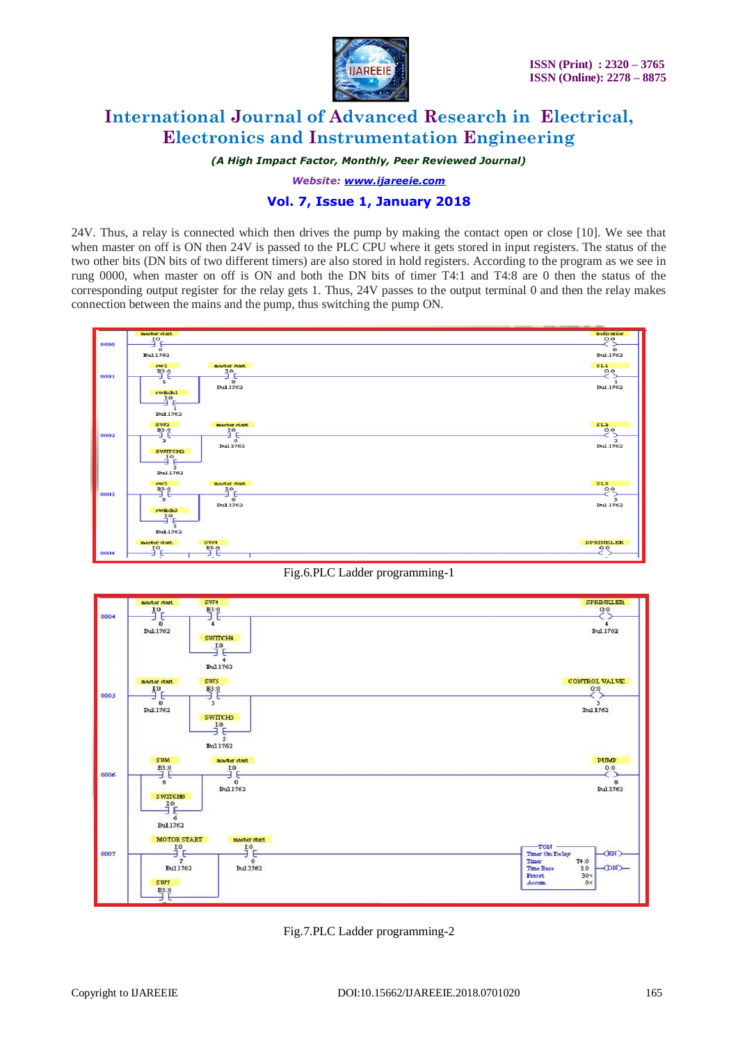

*(A High Impact Factor, Monthly, Peer Reviewed Journal)*

*Website: [www.ijareeie.com](http://www.ijareeie.com/)*

## **Vol. 7, Issue 1, January 2018**

24V. Thus, a relay is connected which then drives the pump by making the contact open or close [10]. We see that when master on off is ON then 24V is passed to the PLC CPU where it gets stored in input registers. The status of the two other bits (DN bits of two different timers) are also stored in hold registers. According to the program as we see in rung 0000, when master on off is ON and both the DN bits of timer T4:1 and T4:8 are 0 then the status of the corresponding output register for the relay gets 1. Thus, 24V passes to the output terminal 0 and then the relay makes connection between the mains and the pump, thus switching the pump ON.



Fig.6.PLC Ladder programming-1



Fig.7.PLC Ladder programming-2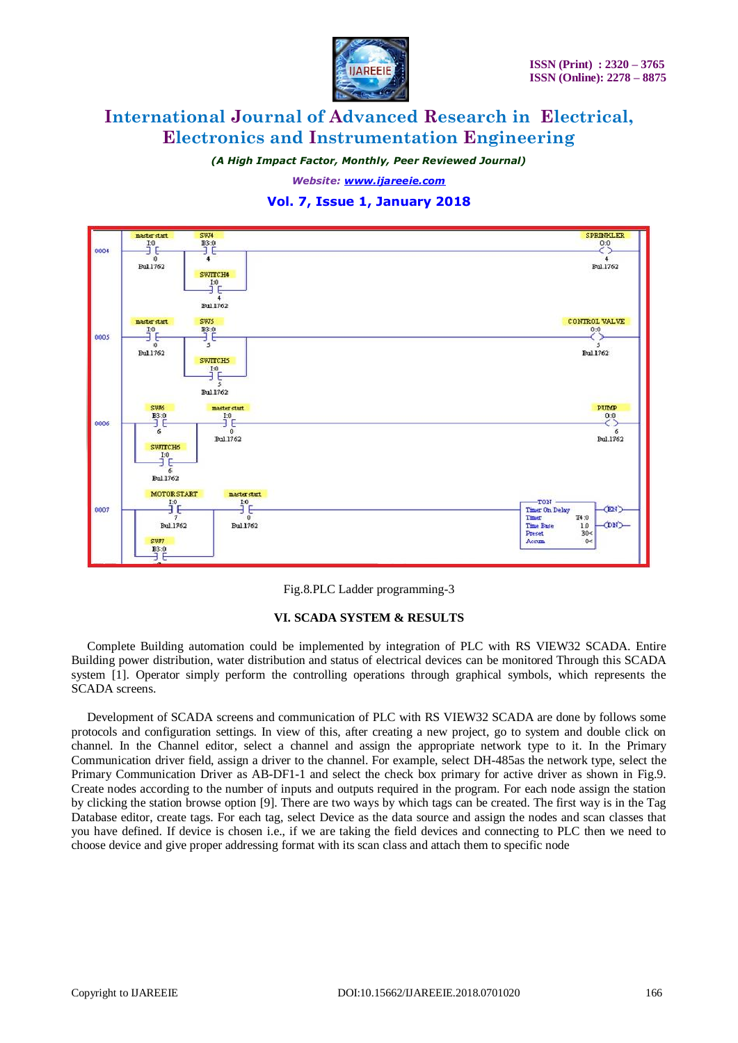

*(A High Impact Factor, Monthly, Peer Reviewed Journal)*

*Website: [www.ijareeie.com](http://www.ijareeie.com/)*

### **Vol. 7, Issue 1, January 2018**



Fig.8.PLC Ladder programming-3

#### **VI. SCADA SYSTEM & RESULTS**

 Complete Building automation could be implemented by integration of PLC with RS VIEW32 SCADA. Entire Building power distribution, water distribution and status of electrical devices can be monitored Through this SCADA system [1]. Operator simply perform the controlling operations through graphical symbols, which represents the SCADA screens.

 Development of SCADA screens and communication of PLC with RS VIEW32 SCADA are done by follows some protocols and configuration settings. In view of this, after creating a new project, go to system and double click on channel. In the Channel editor, select a channel and assign the appropriate network type to it. In the Primary Communication driver field, assign a driver to the channel. For example, select DH-485as the network type, select the Primary Communication Driver as AB-DF1-1 and select the check box primary for active driver as shown in Fig.9. Create nodes according to the number of inputs and outputs required in the program. For each node assign the station by clicking the station browse option [9]. There are two ways by which tags can be created. The first way is in the Tag Database editor, create tags. For each tag, select Device as the data source and assign the nodes and scan classes that you have defined. If device is chosen i.e., if we are taking the field devices and connecting to PLC then we need to choose device and give proper addressing format with its scan class and attach them to specific node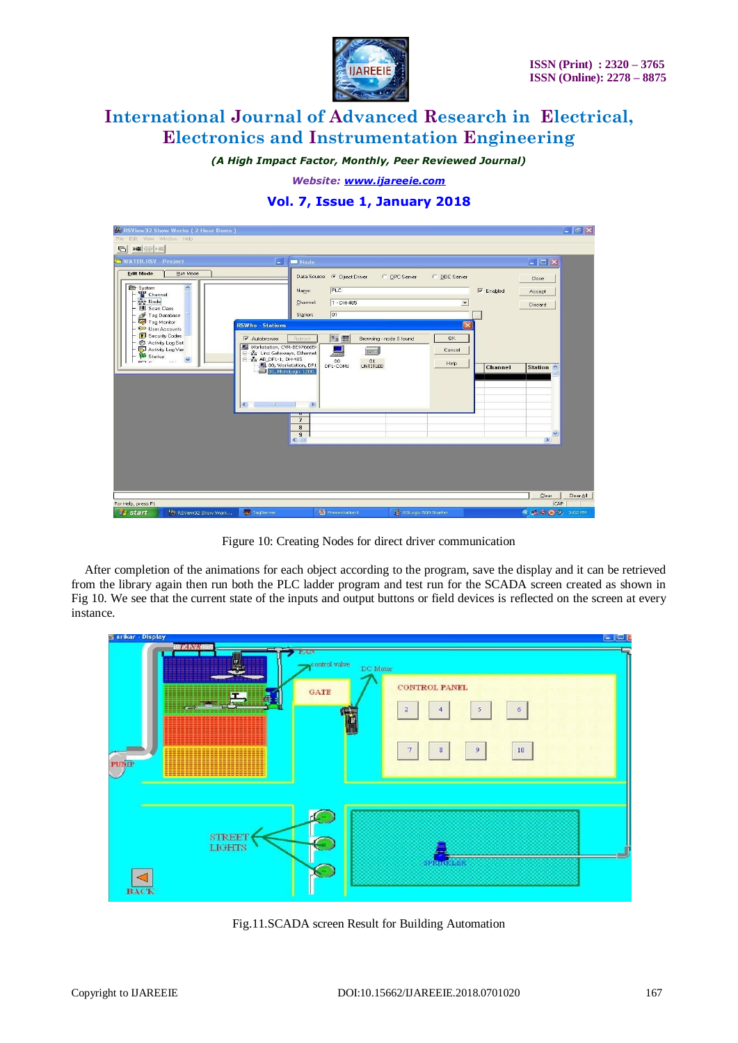

*(A High Impact Factor, Monthly, Peer Reviewed Journal)*

*Website: [www.ijareeie.com](http://www.ijareeie.com/)*

# **Vol. 7, Issue 1, January 2018**

| Hi RSView 32 Show Works (2 Hour Demo)                                                                                                                                                                                                                                                                                                                                                                                                                                                                                                                           |                                                                                                                                  |                                         | $  \sigma $ $\times$       |
|-----------------------------------------------------------------------------------------------------------------------------------------------------------------------------------------------------------------------------------------------------------------------------------------------------------------------------------------------------------------------------------------------------------------------------------------------------------------------------------------------------------------------------------------------------------------|----------------------------------------------------------------------------------------------------------------------------------|-----------------------------------------|----------------------------|
| Edit View Window Help<br>File                                                                                                                                                                                                                                                                                                                                                                                                                                                                                                                                   |                                                                                                                                  |                                         |                            |
| <b>×器 命 · 雷</b><br>$\Theta$                                                                                                                                                                                                                                                                                                                                                                                                                                                                                                                                     |                                                                                                                                  |                                         |                            |
| ٥<br>WATER.RSV - Project                                                                                                                                                                                                                                                                                                                                                                                                                                                                                                                                        | <b>M</b> Node                                                                                                                    |                                         | $\Box$ $\Box$ $\times$     |
| <b>Edit Mode</b><br>Run Mode<br>$\hat{\phantom{a}}$<br>System<br>말 Channel<br>gee Node                                                                                                                                                                                                                                                                                                                                                                                                                                                                          | Data Source: C Direct Driver<br>C OPC Server<br><b>PLC</b><br>Name:<br>$1 - DH - 485$<br>Channel:                                | C. DDE Server<br>$\nabla$ Enabled<br>٠  | Close<br>Accept<br>Discard |
| <b>III</b> Scan Class<br>Tag Database<br>Tag Monitor<br><b>RSWho - Stations</b><br><b>C</b> <sub>o</sub> User Accounts                                                                                                                                                                                                                                                                                                                                                                                                                                          | 01<br>Station:                                                                                                                   |                                         |                            |
| Security Codes<br>V Autobrowse<br>Activity Log Set<br>$\begin{tabular}{ll} \hline \hline \hline \multicolumn{3}{l}{\textbf{I}} & \multicolumn{3}{l}{\textbf{Workstation, CVR-BE976665}}\\ \hline \multicolumn{3}{l}{\textbf{I}} & \multicolumn{3}{l}{\textbf{E}} & \multicolumn{3}{l}{\textbf{Linv. Gateways, Ethernet}}\\ \hline \multicolumn{3}{l}{\textbf{I}} & \multicolumn{3}{l}{\textbf{B}} & \multicolumn{3}{l}{\textbf{A8\_DF1-1, DH-485}}\\ \hline \end{tabular}$<br>Activity Log Vier<br>Startup<br>$\checkmark$<br>$\overline{m}$ $\sim$<br>$11 - 1$ | $R_{\Omega}$ iii<br>Browsing - node 0 found<br>Refresh<br>Ticwall<br>01<br>$DF1-COM1$<br>00, Workstation, DF1<br><b>UNTITLED</b> | <b>OK</b><br>Cancel<br>Help.<br>Channel | Station ^                  |
| 01, MicroLogix 1200,<br>$\leq$<br>1111                                                                                                                                                                                                                                                                                                                                                                                                                                                                                                                          | $\,$                                                                                                                             |                                         |                            |
|                                                                                                                                                                                                                                                                                                                                                                                                                                                                                                                                                                 | $\overline{7}$<br>8<br>$\overline{9}$<br>$\leq$                                                                                  |                                         | ×<br>$\geq$                |
|                                                                                                                                                                                                                                                                                                                                                                                                                                                                                                                                                                 |                                                                                                                                  |                                         |                            |
|                                                                                                                                                                                                                                                                                                                                                                                                                                                                                                                                                                 |                                                                                                                                  |                                         | Clear<br>Clear All         |
| For Help, press F1                                                                                                                                                                                                                                                                                                                                                                                                                                                                                                                                              |                                                                                                                                  |                                         | CAP                        |
| TagServer<br>特 RSView32 Show Work<br><b>is start</b>                                                                                                                                                                                                                                                                                                                                                                                                                                                                                                            | Presentation1<br>RSLogix 500 Starter                                                                                             |                                         | 4 3 0 9 3:02 PM            |

Figure 10: Creating Nodes for direct driver communication

After completion of the animations for each object according to the program, save the display and it can be retrieved from the library again then run both the PLC ladder program and test run for the SCADA screen created as shown in Fig 10. We see that the current state of the inputs and output buttons or field devices is reflected on the screen at every instance.



Fig.11.SCADA screen Result for Building Automation